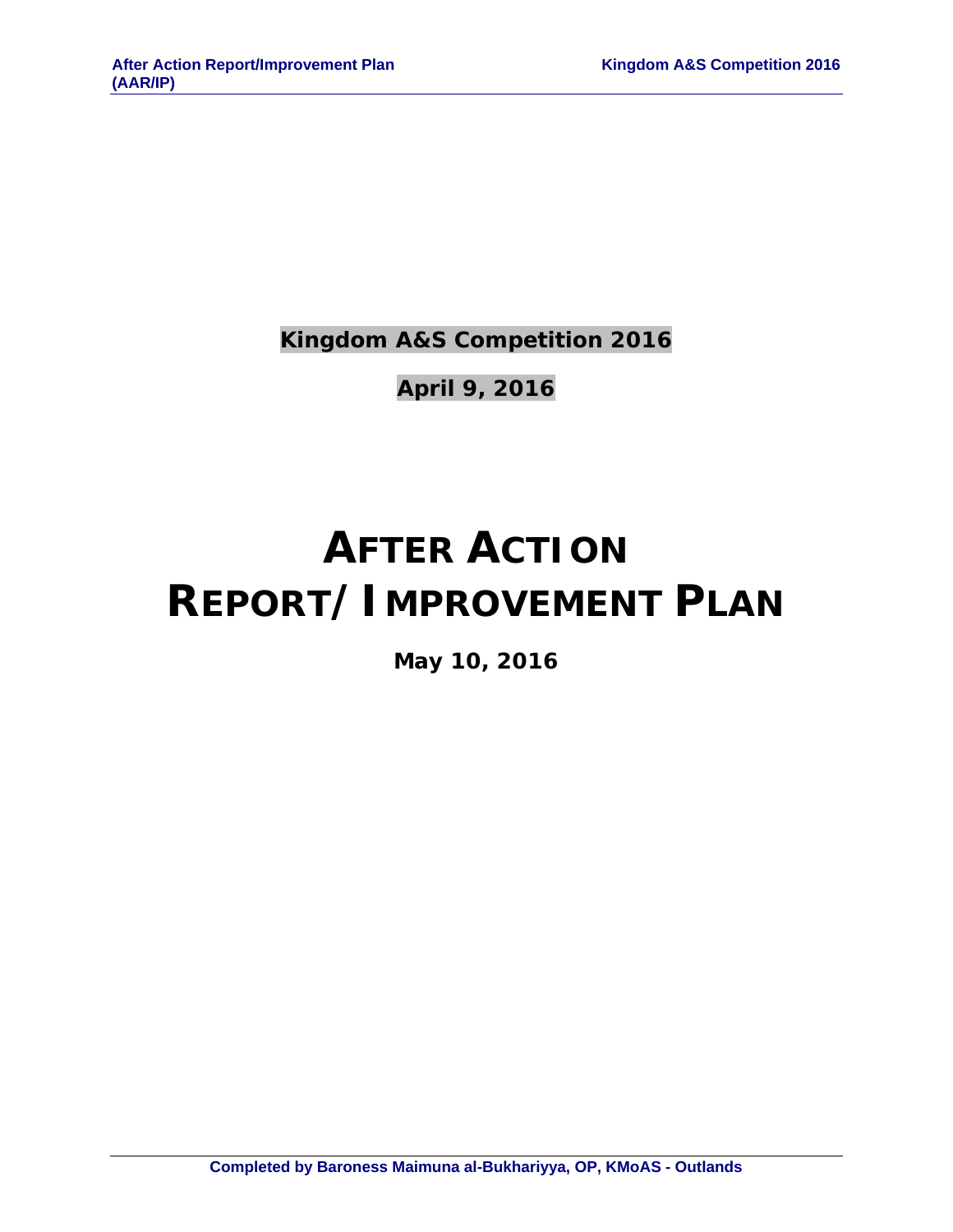**Kingdom A&S Competition 2016** 

### **April 9, 2016**

# **AFTER ACTION REPORT/IMPROVEMENT PLAN**

**May 10, 2016**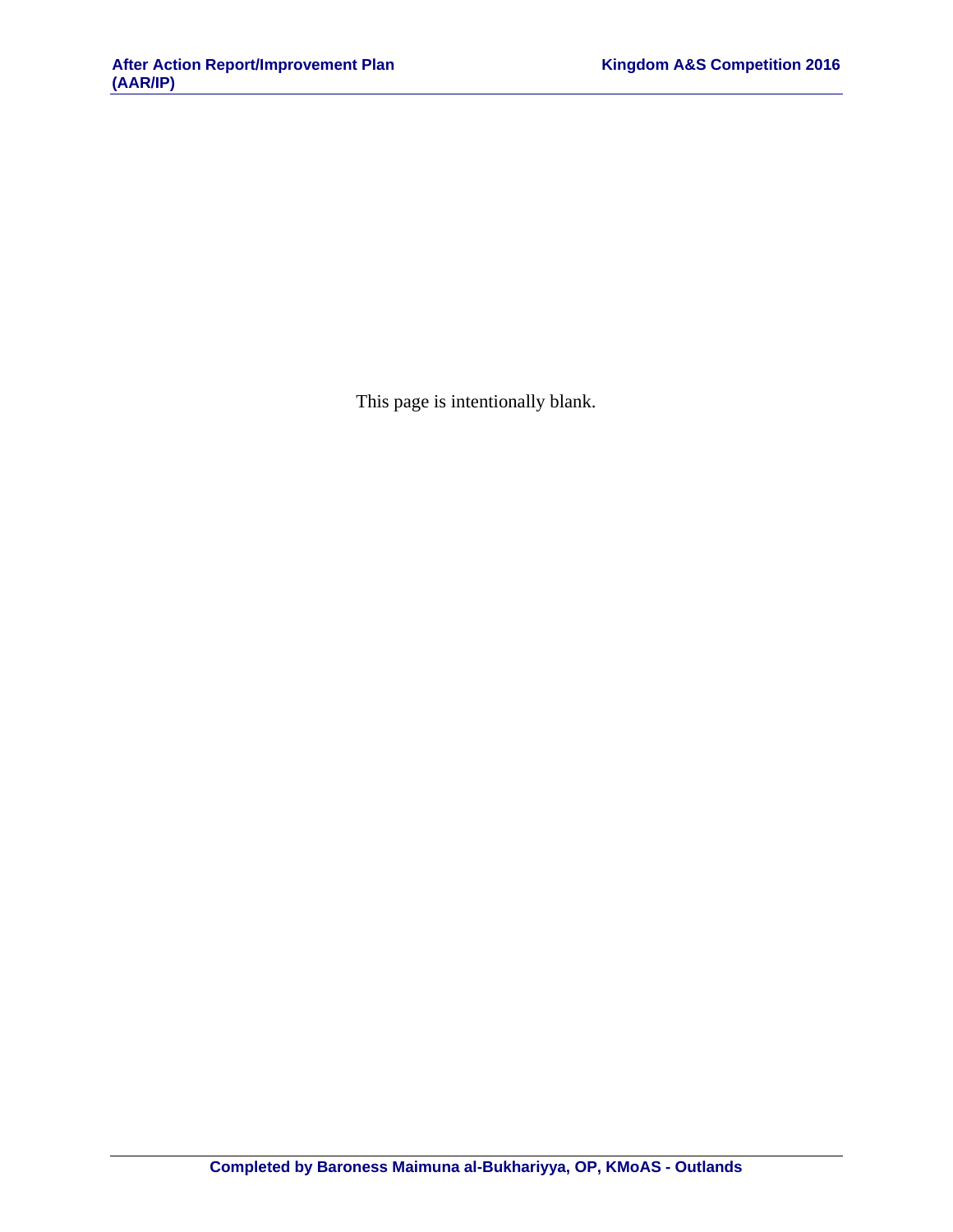This page is intentionally blank.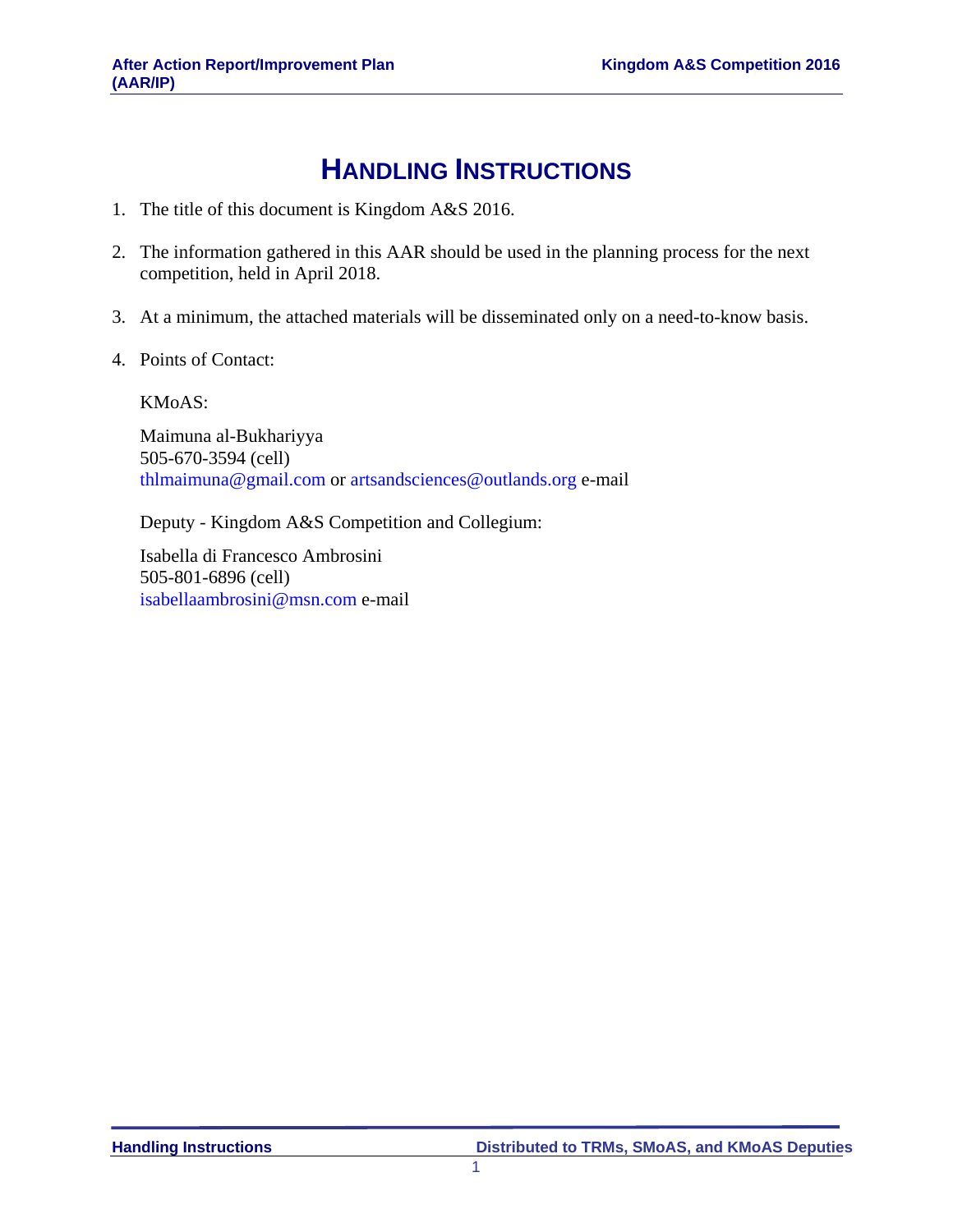### **HANDLING INSTRUCTIONS**

- 1. The title of this document is Kingdom A&S 2016.
- 2. The information gathered in this AAR should be used in the planning process for the next competition, held in April 2018.
- 3. At a minimum, the attached materials will be disseminated only on a need-to-know basis.
- 4. Points of Contact:

KMoAS:

Maimuna al-Bukhariyya 505-670-3594 (cell) thlmaimuna@gmail.com or artsandsciences@outlands.org e-mail

Deputy - Kingdom A&S Competition and Collegium:

Isabella di Francesco Ambrosini 505-801-6896 (cell) isabellaambrosini@msn.com e-mail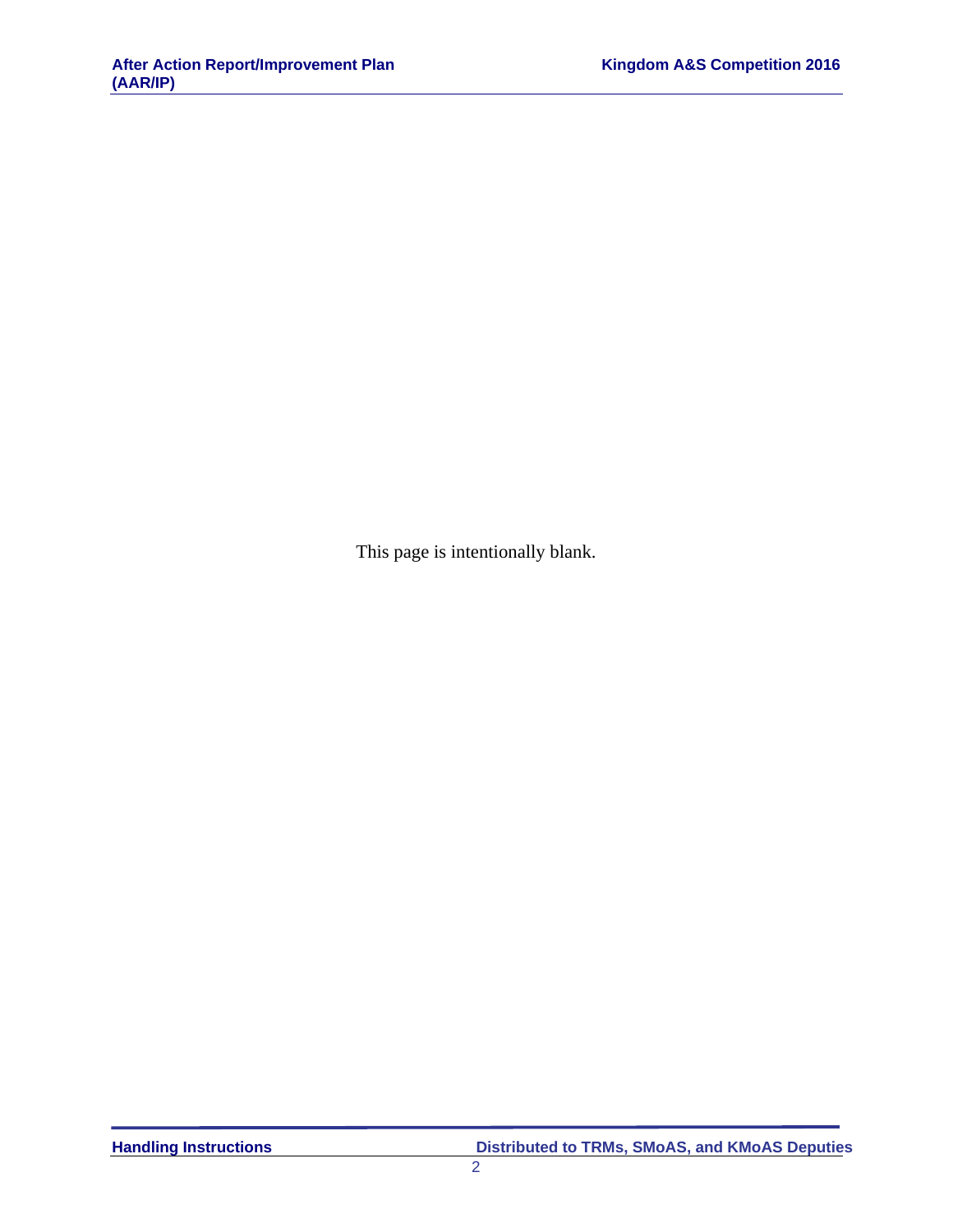This page is intentionally blank.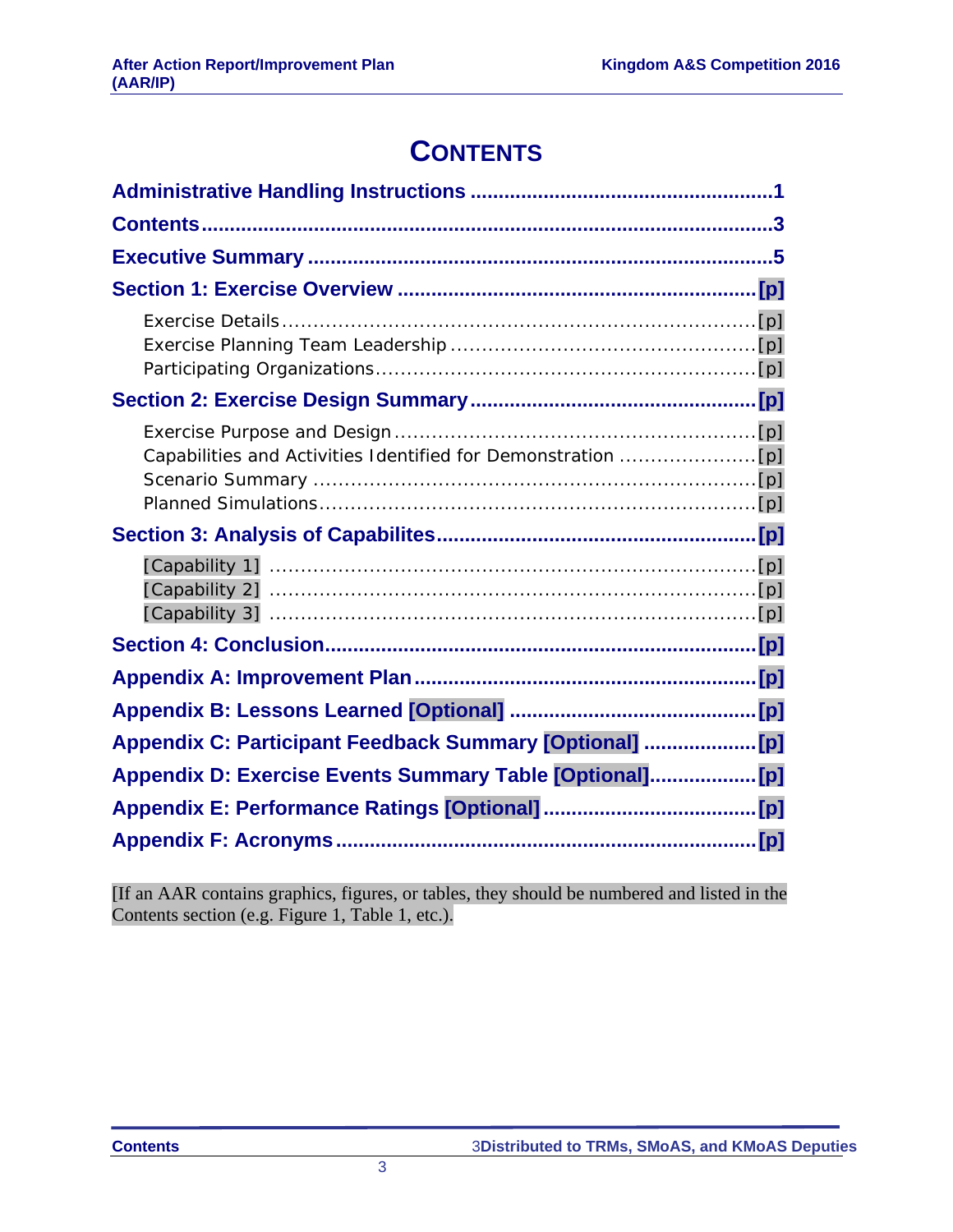### **CONTENTS**

| Appendix C: Participant Feedback Summary [Optional]  |  |  |  |  |
|------------------------------------------------------|--|--|--|--|
| Appendix D: Exercise Events Summary Table [Optional] |  |  |  |  |
|                                                      |  |  |  |  |
| [p]                                                  |  |  |  |  |

[If an AAR contains graphics, figures, or tables, they should be numbered and listed in the Contents section (e.g. Figure 1, Table 1, etc.).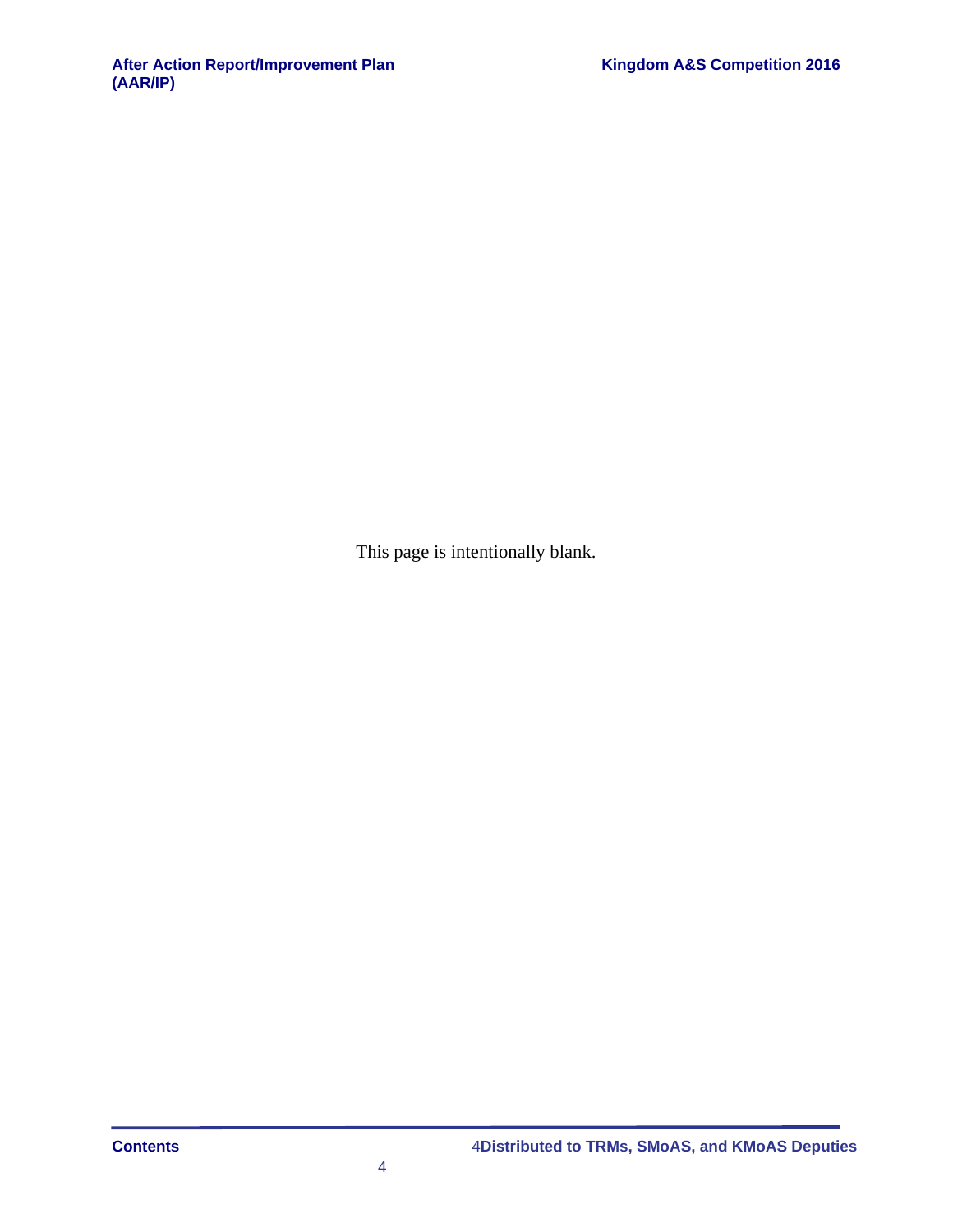This page is intentionally blank.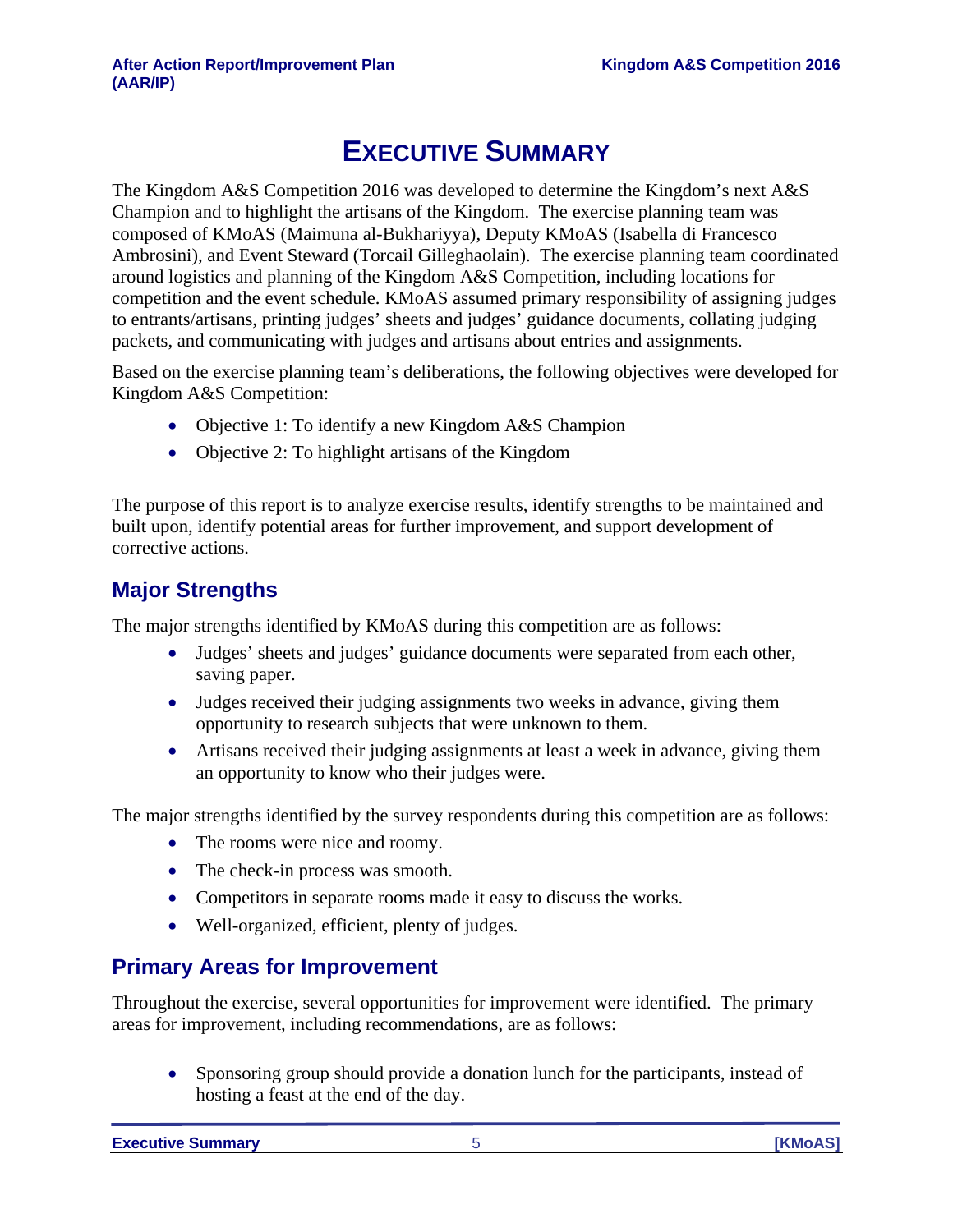### **EXECUTIVE SUMMARY**

The Kingdom A&S Competition 2016 was developed to determine the Kingdom's next A&S Champion and to highlight the artisans of the Kingdom. The exercise planning team was composed of KMoAS (Maimuna al-Bukhariyya), Deputy KMoAS (Isabella di Francesco Ambrosini), and Event Steward (Torcail Gilleghaolain). The exercise planning team coordinated around logistics and planning of the Kingdom A&S Competition, including locations for competition and the event schedule. KMoAS assumed primary responsibility of assigning judges to entrants/artisans, printing judges' sheets and judges' guidance documents, collating judging packets, and communicating with judges and artisans about entries and assignments.

Based on the exercise planning team's deliberations, the following objectives were developed for Kingdom A&S Competition:

- Objective 1: To identify a new Kingdom A&S Champion
- Objective 2: To highlight artisans of the Kingdom

The purpose of this report is to analyze exercise results, identify strengths to be maintained and built upon, identify potential areas for further improvement, and support development of corrective actions.

#### **Major Strengths**

The major strengths identified by KMoAS during this competition are as follows:

- Judges' sheets and judges' guidance documents were separated from each other, saving paper.
- Judges received their judging assignments two weeks in advance, giving them opportunity to research subjects that were unknown to them.
- Artisans received their judging assignments at least a week in advance, giving them an opportunity to know who their judges were.

The major strengths identified by the survey respondents during this competition are as follows:

- The rooms were nice and roomy.
- The check-in process was smooth.
- Competitors in separate rooms made it easy to discuss the works.
- Well-organized, efficient, plenty of judges.

#### **Primary Areas for Improvement**

Throughout the exercise, several opportunities for improvement were identified. The primary areas for improvement, including recommendations, are as follows:

 Sponsoring group should provide a donation lunch for the participants, instead of hosting a feast at the end of the day.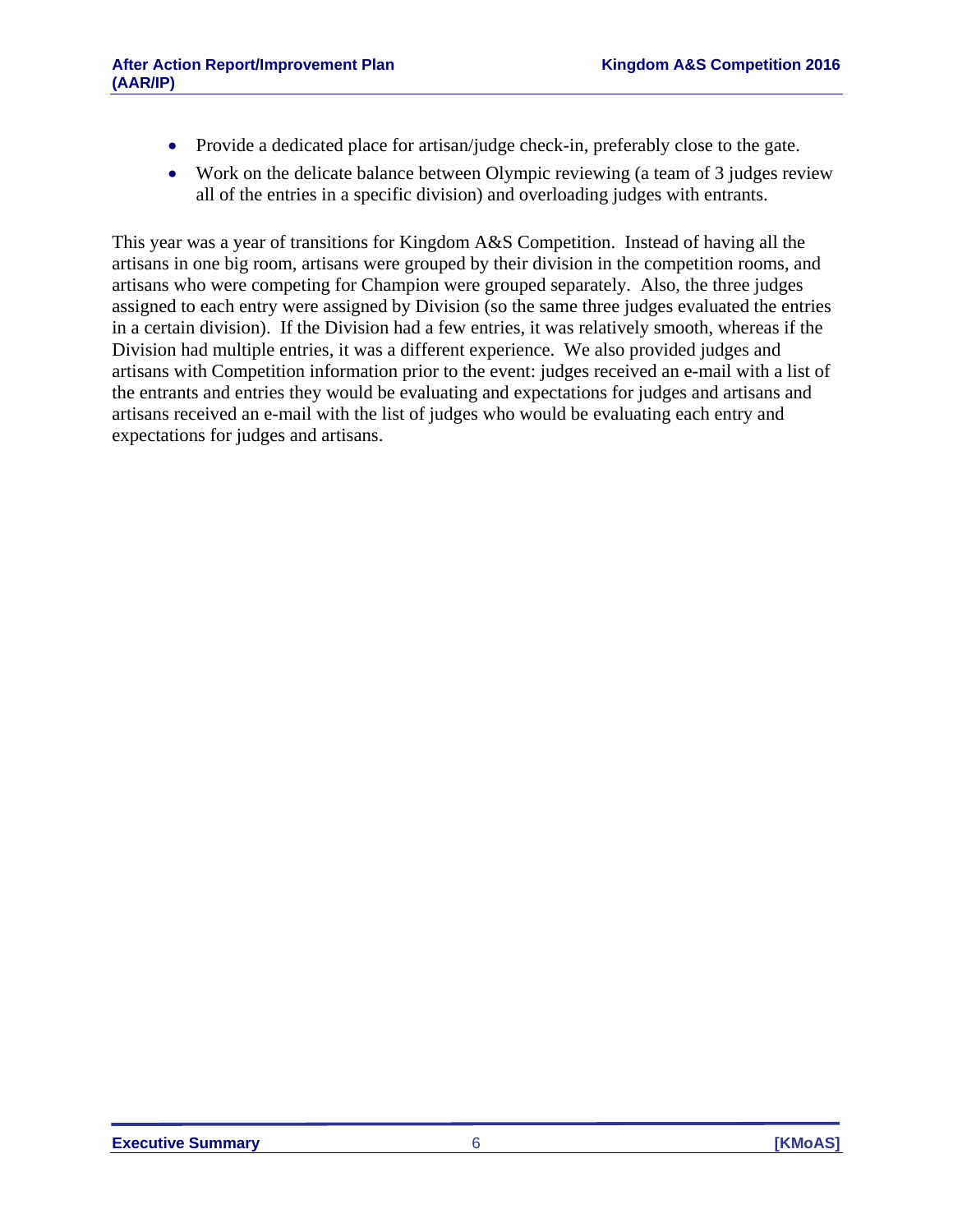- Provide a dedicated place for artisan/judge check-in, preferably close to the gate.
- Work on the delicate balance between Olympic reviewing (a team of 3 judges review all of the entries in a specific division) and overloading judges with entrants.

This year was a year of transitions for Kingdom A&S Competition. Instead of having all the artisans in one big room, artisans were grouped by their division in the competition rooms, and artisans who were competing for Champion were grouped separately. Also, the three judges assigned to each entry were assigned by Division (so the same three judges evaluated the entries in a certain division). If the Division had a few entries, it was relatively smooth, whereas if the Division had multiple entries, it was a different experience. We also provided judges and artisans with Competition information prior to the event: judges received an e-mail with a list of the entrants and entries they would be evaluating and expectations for judges and artisans and artisans received an e-mail with the list of judges who would be evaluating each entry and expectations for judges and artisans.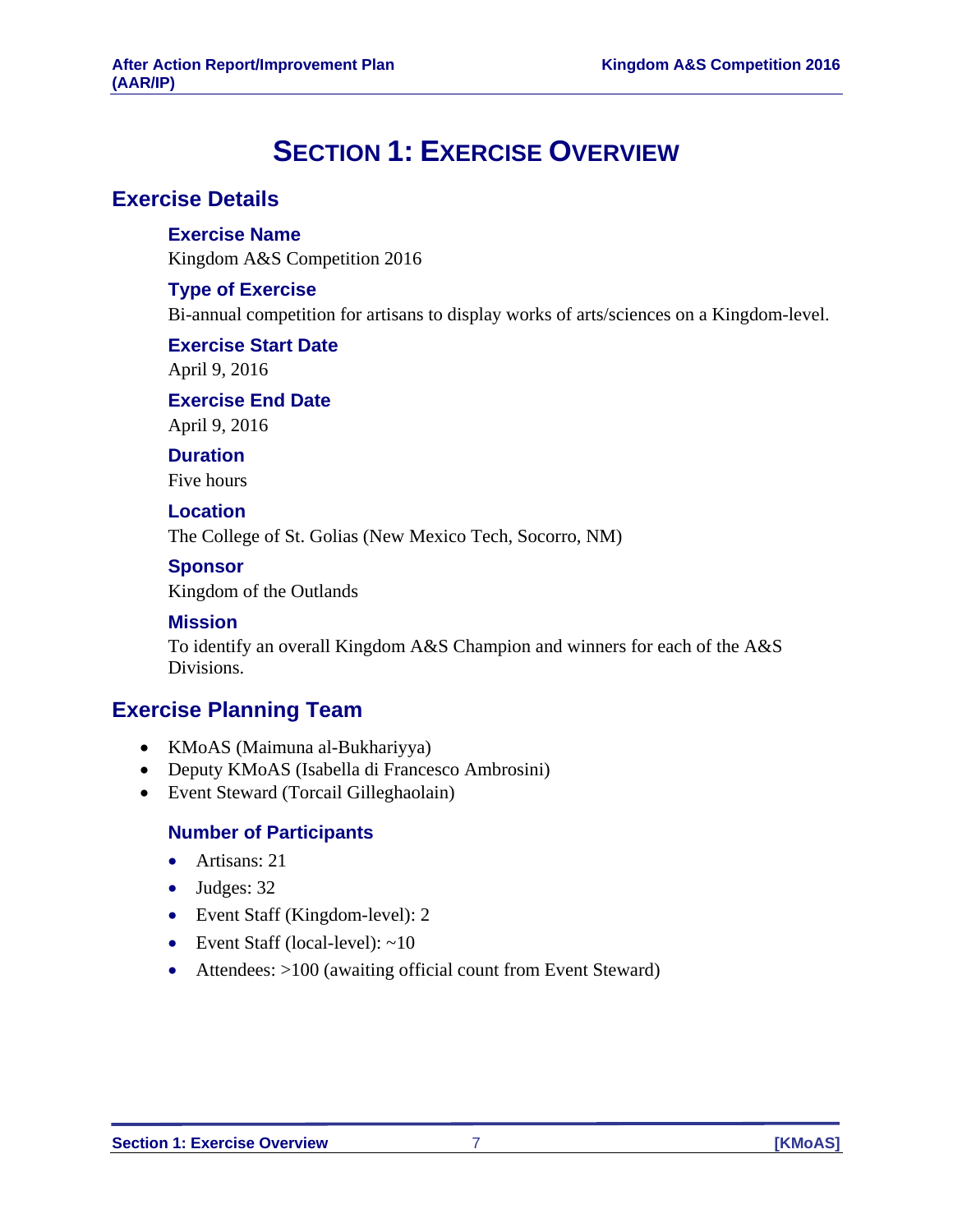# **SECTION 1: EXERCISE OVERVIEW**

#### **Exercise Details**

#### **Exercise Name**

Kingdom A&S Competition 2016

#### **Type of Exercise**

Bi-annual competition for artisans to display works of arts/sciences on a Kingdom-level.

#### **Exercise Start Date**

April 9, 2016

#### **Exercise End Date**

April 9, 2016

#### **Duration**

Five hours

#### **Location**

The College of St. Golias (New Mexico Tech, Socorro, NM)

#### **Sponsor**

Kingdom of the Outlands

#### **Mission**

To identify an overall Kingdom A&S Champion and winners for each of the A&S Divisions.

#### **Exercise Planning Team**

- KMoAS (Maimuna al-Bukhariyya)
- Deputy KMoAS (Isabella di Francesco Ambrosini)
- Event Steward (Torcail Gilleghaolain)

#### **Number of Participants**

- Artisans: 21
- Judges: 32
- Event Staff (Kingdom-level): 2
- Event Staff (local-level):  $~10$
- Attendees: >100 (awaiting official count from Event Steward)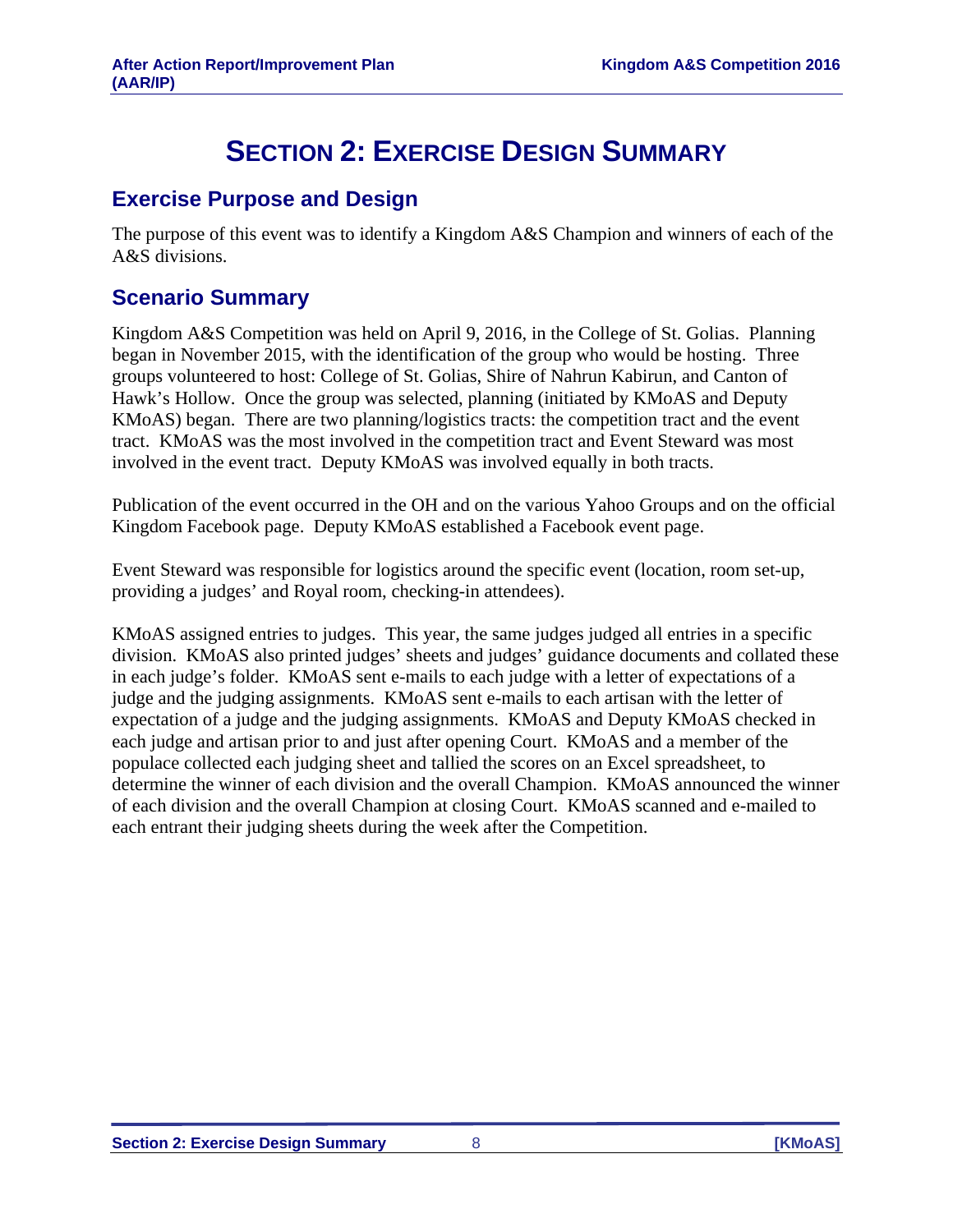### **SECTION 2: EXERCISE DESIGN SUMMARY**

#### **Exercise Purpose and Design**

The purpose of this event was to identify a Kingdom A&S Champion and winners of each of the A&S divisions.

#### **Scenario Summary**

Kingdom A&S Competition was held on April 9, 2016, in the College of St. Golias. Planning began in November 2015, with the identification of the group who would be hosting. Three groups volunteered to host: College of St. Golias, Shire of Nahrun Kabirun, and Canton of Hawk's Hollow. Once the group was selected, planning (initiated by KMoAS and Deputy KMoAS) began. There are two planning/logistics tracts: the competition tract and the event tract. KMoAS was the most involved in the competition tract and Event Steward was most involved in the event tract. Deputy KMoAS was involved equally in both tracts.

Publication of the event occurred in the OH and on the various Yahoo Groups and on the official Kingdom Facebook page. Deputy KMoAS established a Facebook event page.

Event Steward was responsible for logistics around the specific event (location, room set-up, providing a judges' and Royal room, checking-in attendees).

KMoAS assigned entries to judges. This year, the same judges judged all entries in a specific division. KMoAS also printed judges' sheets and judges' guidance documents and collated these in each judge's folder. KMoAS sent e-mails to each judge with a letter of expectations of a judge and the judging assignments. KMoAS sent e-mails to each artisan with the letter of expectation of a judge and the judging assignments. KMoAS and Deputy KMoAS checked in each judge and artisan prior to and just after opening Court. KMoAS and a member of the populace collected each judging sheet and tallied the scores on an Excel spreadsheet, to determine the winner of each division and the overall Champion. KMoAS announced the winner of each division and the overall Champion at closing Court. KMoAS scanned and e-mailed to each entrant their judging sheets during the week after the Competition.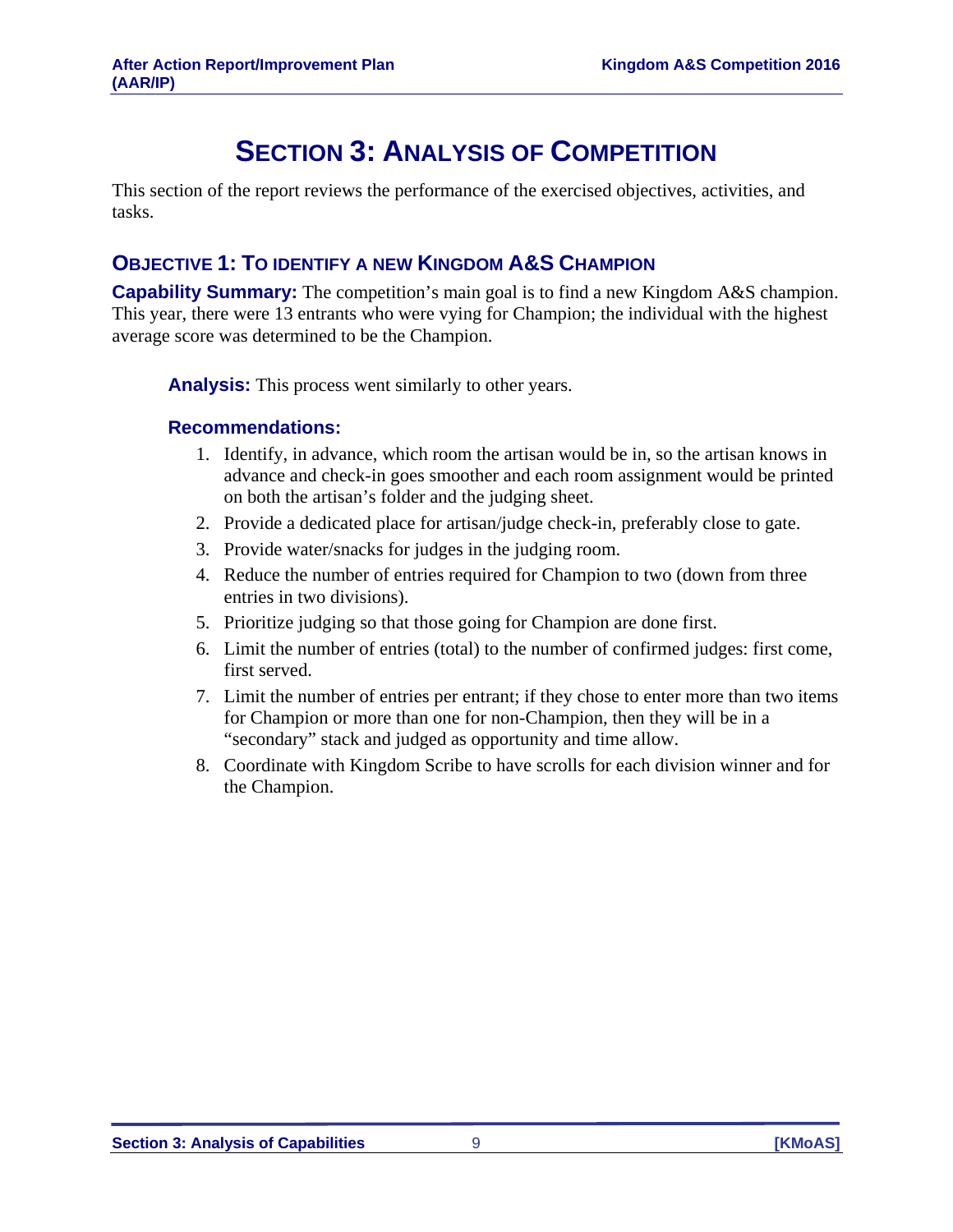### **SECTION 3: ANALYSIS OF COMPETITION**

This section of the report reviews the performance of the exercised objectives, activities, and tasks.

#### **OBJECTIVE 1: TO IDENTIFY A NEW KINGDOM A&S CHAMPION**

**Capability Summary:** The competition's main goal is to find a new Kingdom A&S champion. This year, there were 13 entrants who were vying for Champion; the individual with the highest average score was determined to be the Champion.

**Analysis:** This process went similarly to other years.

#### **Recommendations:**

- 1. Identify, in advance, which room the artisan would be in, so the artisan knows in advance and check-in goes smoother and each room assignment would be printed on both the artisan's folder and the judging sheet.
- 2. Provide a dedicated place for artisan/judge check-in, preferably close to gate.
- 3. Provide water/snacks for judges in the judging room.
- 4. Reduce the number of entries required for Champion to two (down from three entries in two divisions).
- 5. Prioritize judging so that those going for Champion are done first.
- 6. Limit the number of entries (total) to the number of confirmed judges: first come, first served.
- 7. Limit the number of entries per entrant; if they chose to enter more than two items for Champion or more than one for non-Champion, then they will be in a "secondary" stack and judged as opportunity and time allow.
- 8. Coordinate with Kingdom Scribe to have scrolls for each division winner and for the Champion.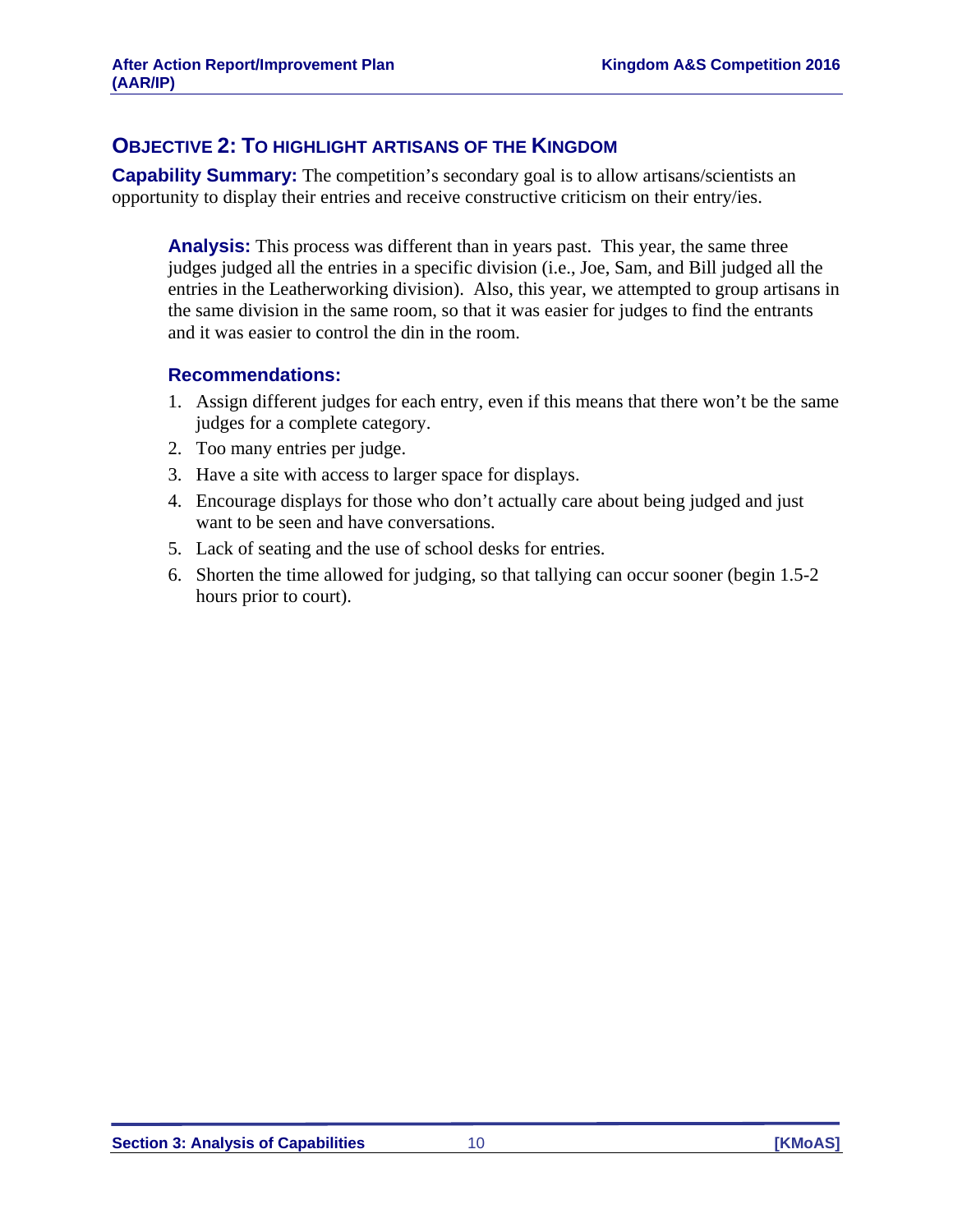#### **OBJECTIVE 2: TO HIGHLIGHT ARTISANS OF THE KINGDOM**

**Capability Summary:** The competition's secondary goal is to allow artisans/scientists an opportunity to display their entries and receive constructive criticism on their entry/ies.

**Analysis:** This process was different than in years past. This year, the same three judges judged all the entries in a specific division (i.e., Joe, Sam, and Bill judged all the entries in the Leatherworking division). Also, this year, we attempted to group artisans in the same division in the same room, so that it was easier for judges to find the entrants and it was easier to control the din in the room.

#### **Recommendations:**

- 1. Assign different judges for each entry, even if this means that there won't be the same judges for a complete category.
- 2. Too many entries per judge.
- 3. Have a site with access to larger space for displays.
- 4. Encourage displays for those who don't actually care about being judged and just want to be seen and have conversations.
- 5. Lack of seating and the use of school desks for entries.
- 6. Shorten the time allowed for judging, so that tallying can occur sooner (begin 1.5-2 hours prior to court).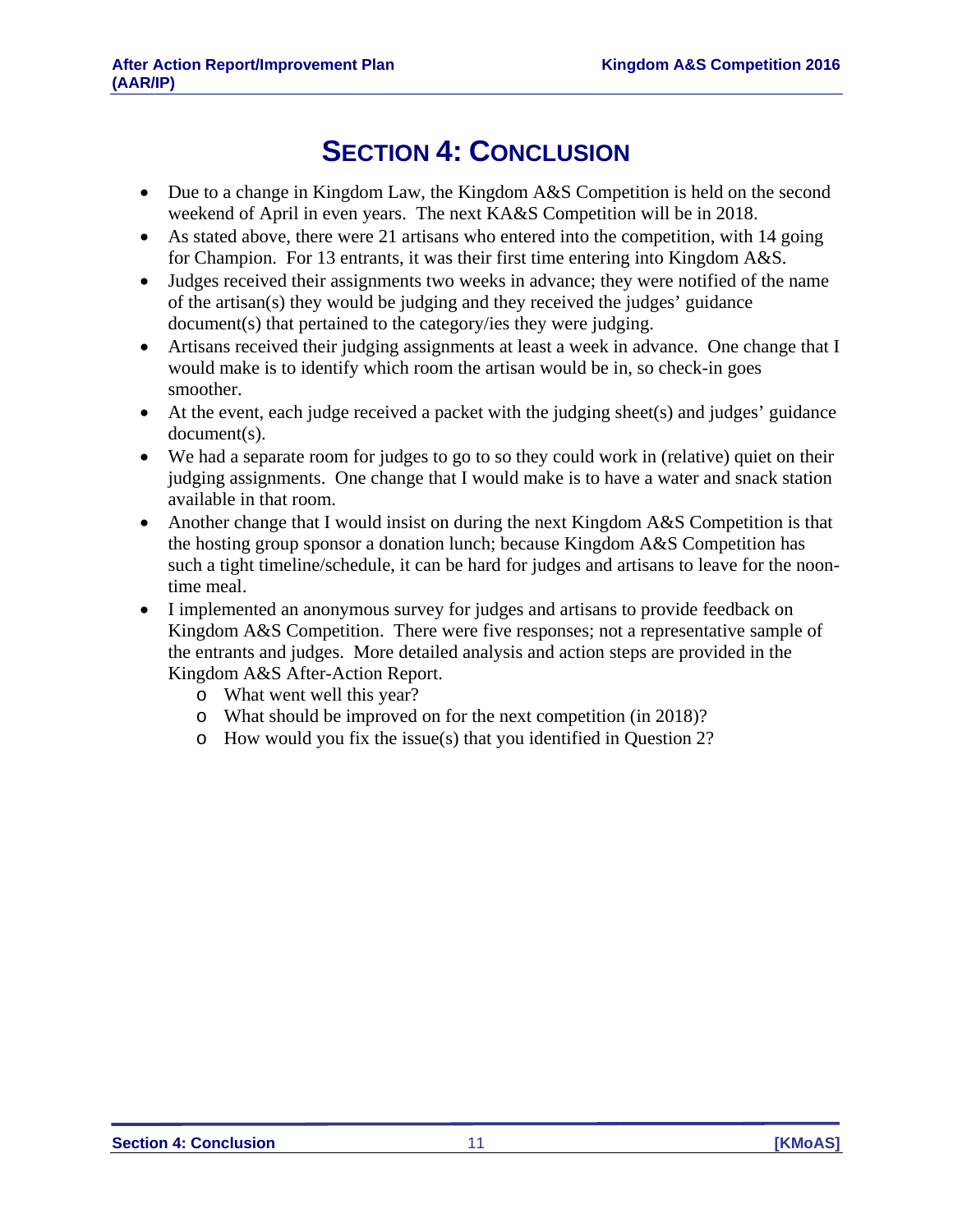### **SECTION 4: CONCLUSION**

- Due to a change in Kingdom Law, the Kingdom A&S Competition is held on the second weekend of April in even years. The next KA&S Competition will be in 2018.
- As stated above, there were 21 artisans who entered into the competition, with 14 going for Champion. For 13 entrants, it was their first time entering into Kingdom A&S.
- Judges received their assignments two weeks in advance; they were notified of the name of the artisan(s) they would be judging and they received the judges' guidance document(s) that pertained to the category/ies they were judging.
- Artisans received their judging assignments at least a week in advance. One change that I would make is to identify which room the artisan would be in, so check-in goes smoother.
- At the event, each judge received a packet with the judging sheet(s) and judges' guidance document(s).
- We had a separate room for judges to go to so they could work in (relative) quiet on their judging assignments. One change that I would make is to have a water and snack station available in that room.
- Another change that I would insist on during the next Kingdom A&S Competition is that the hosting group sponsor a donation lunch; because Kingdom A&S Competition has such a tight timeline/schedule, it can be hard for judges and artisans to leave for the noontime meal.
- I implemented an anonymous survey for judges and artisans to provide feedback on Kingdom A&S Competition. There were five responses; not a representative sample of the entrants and judges. More detailed analysis and action steps are provided in the Kingdom A&S After-Action Report.
	- o What went well this year?
	- o What should be improved on for the next competition (in 2018)?
	- o How would you fix the issue(s) that you identified in Question 2?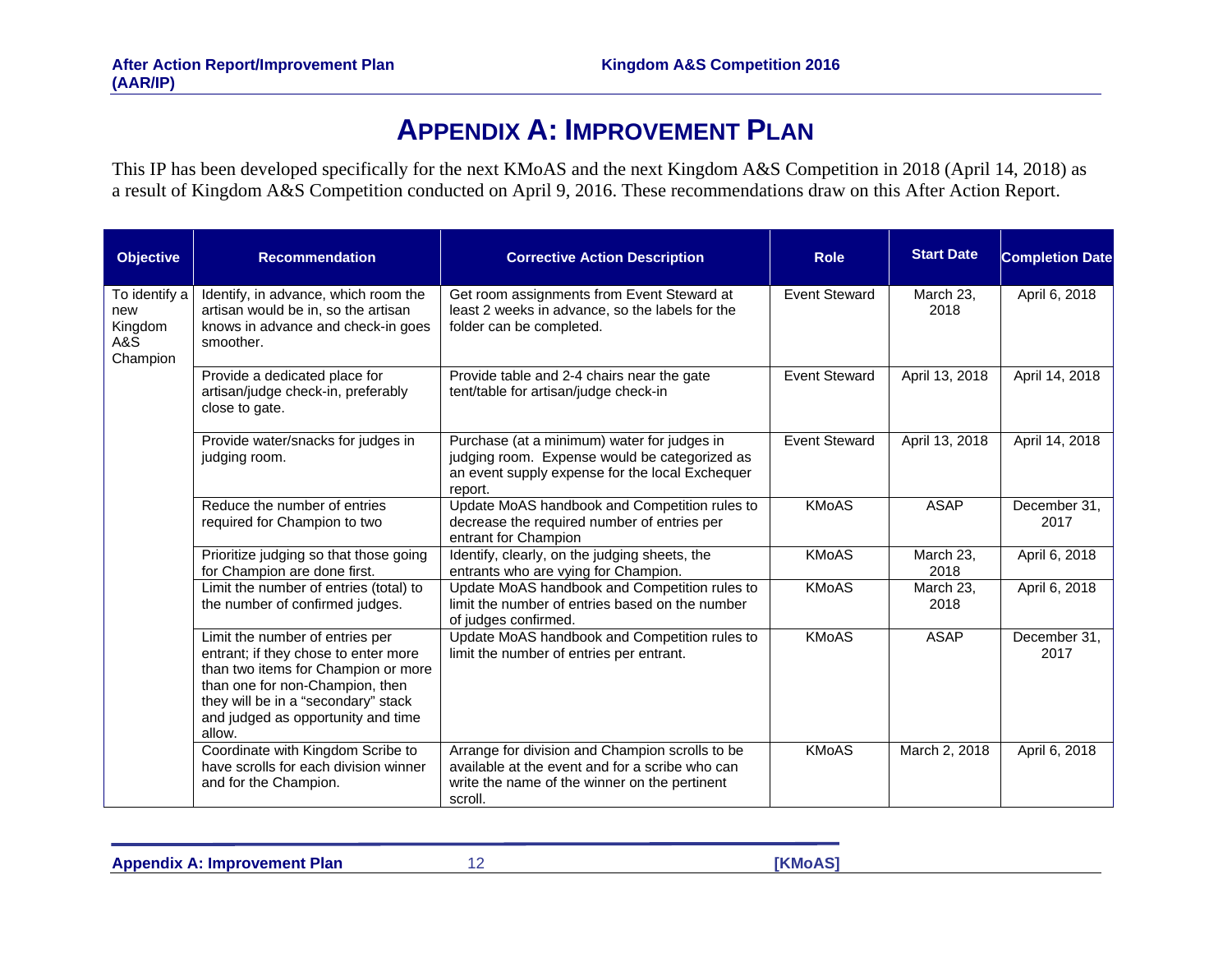### **APPENDIX A: IMPROVEMENT PLAN**

This IP has been developed specifically for the next KMoAS and the next Kingdom A&S Competition in 2018 (April 14, 2018) as a result of Kingdom A&S Competition conducted on April 9, 2016. These recommendations draw on this After Action Report.

| <b>Objective</b>                                   | <b>Recommendation</b>                                                                                                                                                                                                                    | <b>Corrective Action Description</b>                                                                                                                           | <b>Role</b>          | <b>Start Date</b> | <b>Completion Date</b> |
|----------------------------------------------------|------------------------------------------------------------------------------------------------------------------------------------------------------------------------------------------------------------------------------------------|----------------------------------------------------------------------------------------------------------------------------------------------------------------|----------------------|-------------------|------------------------|
| To identify a<br>new<br>Kingdom<br>A&S<br>Champion | Identify, in advance, which room the<br>artisan would be in, so the artisan<br>knows in advance and check-in goes<br>smoother.                                                                                                           | Get room assignments from Event Steward at<br>least 2 weeks in advance, so the labels for the<br>folder can be completed.                                      | <b>Event Steward</b> | March 23,<br>2018 | April 6, 2018          |
|                                                    | Provide a dedicated place for<br>artisan/judge check-in, preferably<br>close to gate.                                                                                                                                                    | Provide table and 2-4 chairs near the gate<br>tent/table for artisan/judge check-in                                                                            | <b>Event Steward</b> | April 13, 2018    | April 14, 2018         |
|                                                    | Provide water/snacks for judges in<br>judging room.                                                                                                                                                                                      | Purchase (at a minimum) water for judges in<br>judging room. Expense would be categorized as<br>an event supply expense for the local Exchequer<br>report.     | <b>Event Steward</b> | April 13, 2018    | April 14, 2018         |
|                                                    | Reduce the number of entries<br>required for Champion to two                                                                                                                                                                             | Update MoAS handbook and Competition rules to<br>decrease the required number of entries per<br>entrant for Champion                                           | <b>KMoAS</b>         | <b>ASAP</b>       | December 31,<br>2017   |
|                                                    | Prioritize judging so that those going<br>for Champion are done first.                                                                                                                                                                   | Identify, clearly, on the judging sheets, the<br>entrants who are vying for Champion.                                                                          | <b>KMoAS</b>         | March 23,<br>2018 | April 6, 2018          |
|                                                    | Limit the number of entries (total) to<br>the number of confirmed judges.                                                                                                                                                                | Update MoAS handbook and Competition rules to<br>limit the number of entries based on the number<br>of judges confirmed.                                       | <b>KMoAS</b>         | March 23,<br>2018 | April 6, 2018          |
|                                                    | Limit the number of entries per<br>entrant; if they chose to enter more<br>than two items for Champion or more<br>than one for non-Champion, then<br>they will be in a "secondary" stack<br>and judged as opportunity and time<br>allow. | Update MoAS handbook and Competition rules to<br>limit the number of entries per entrant.                                                                      | <b>KMoAS</b>         | ASAP              | December 31,<br>2017   |
|                                                    | Coordinate with Kingdom Scribe to<br>have scrolls for each division winner<br>and for the Champion.                                                                                                                                      | Arrange for division and Champion scrolls to be<br>available at the event and for a scribe who can<br>write the name of the winner on the pertinent<br>scroll. | <b>KMoAS</b>         | March 2, 2018     | April 6, 2018          |

**Appendix A: Improvement Plan** 12 *[KMoAS]*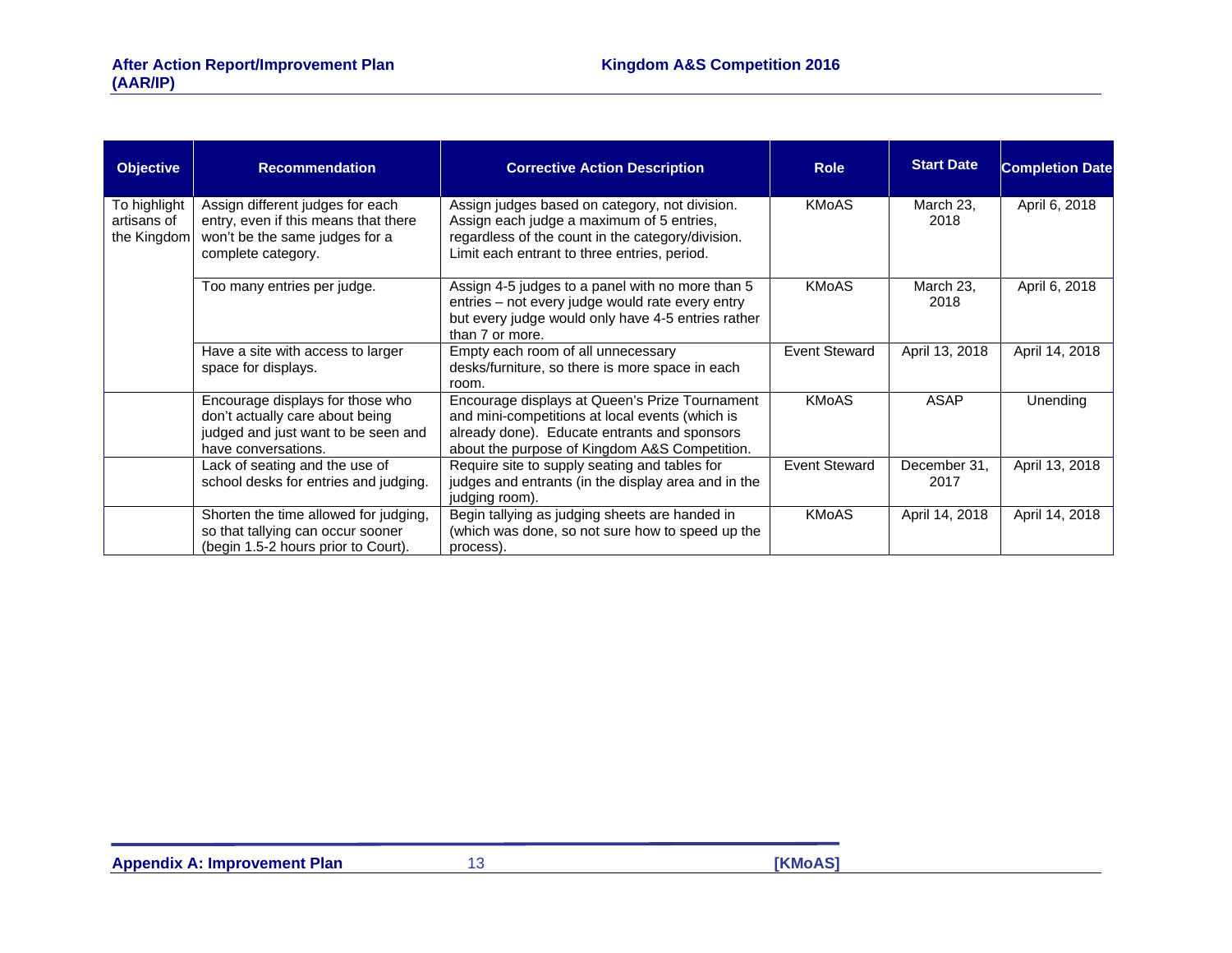| <b>Objective</b>                           | <b>Recommendation</b>                                                                                                             | <b>Corrective Action Description</b>                                                                                                                                                               | <b>Role</b>          | <b>Start Date</b>    | <b>Completion Date</b> |
|--------------------------------------------|-----------------------------------------------------------------------------------------------------------------------------------|----------------------------------------------------------------------------------------------------------------------------------------------------------------------------------------------------|----------------------|----------------------|------------------------|
| To highlight<br>artisans of<br>the Kingdom | Assign different judges for each<br>entry, even if this means that there<br>won't be the same judges for a<br>complete category.  | Assign judges based on category, not division.<br>Assign each judge a maximum of 5 entries,<br>regardless of the count in the category/division.<br>Limit each entrant to three entries, period.   | <b>KMoAS</b>         | March 23,<br>2018    | April 6, 2018          |
| Too many entries per judge.                |                                                                                                                                   | Assign 4-5 judges to a panel with no more than 5<br>entries - not every judge would rate every entry<br>but every judge would only have 4-5 entries rather<br>than 7 or more.                      | <b>KMoAS</b>         | March 23,<br>2018    | April 6, 2018          |
|                                            | Have a site with access to larger<br>space for displays.                                                                          | Empty each room of all unnecessary<br>desks/furniture, so there is more space in each<br>room.                                                                                                     | <b>Event Steward</b> | April 13, 2018       | April 14, 2018         |
|                                            | Encourage displays for those who<br>don't actually care about being<br>judged and just want to be seen and<br>have conversations. | Encourage displays at Queen's Prize Tournament<br>and mini-competitions at local events (which is<br>already done). Educate entrants and sponsors<br>about the purpose of Kingdom A&S Competition. | <b>KMoAS</b>         | <b>ASAP</b>          | Unending               |
|                                            | Lack of seating and the use of<br>school desks for entries and judging.                                                           | Require site to supply seating and tables for<br>judges and entrants (in the display area and in the<br>judging room).                                                                             | <b>Event Steward</b> | December 31,<br>2017 | April 13, 2018         |
|                                            | Shorten the time allowed for judging,<br>so that tallying can occur sooner<br>(begin 1.5-2 hours prior to Court).                 | Begin tallying as judging sheets are handed in<br>(which was done, so not sure how to speed up the<br>process).                                                                                    | <b>KMoAS</b>         | April 14, 2018       | April 14, 2018         |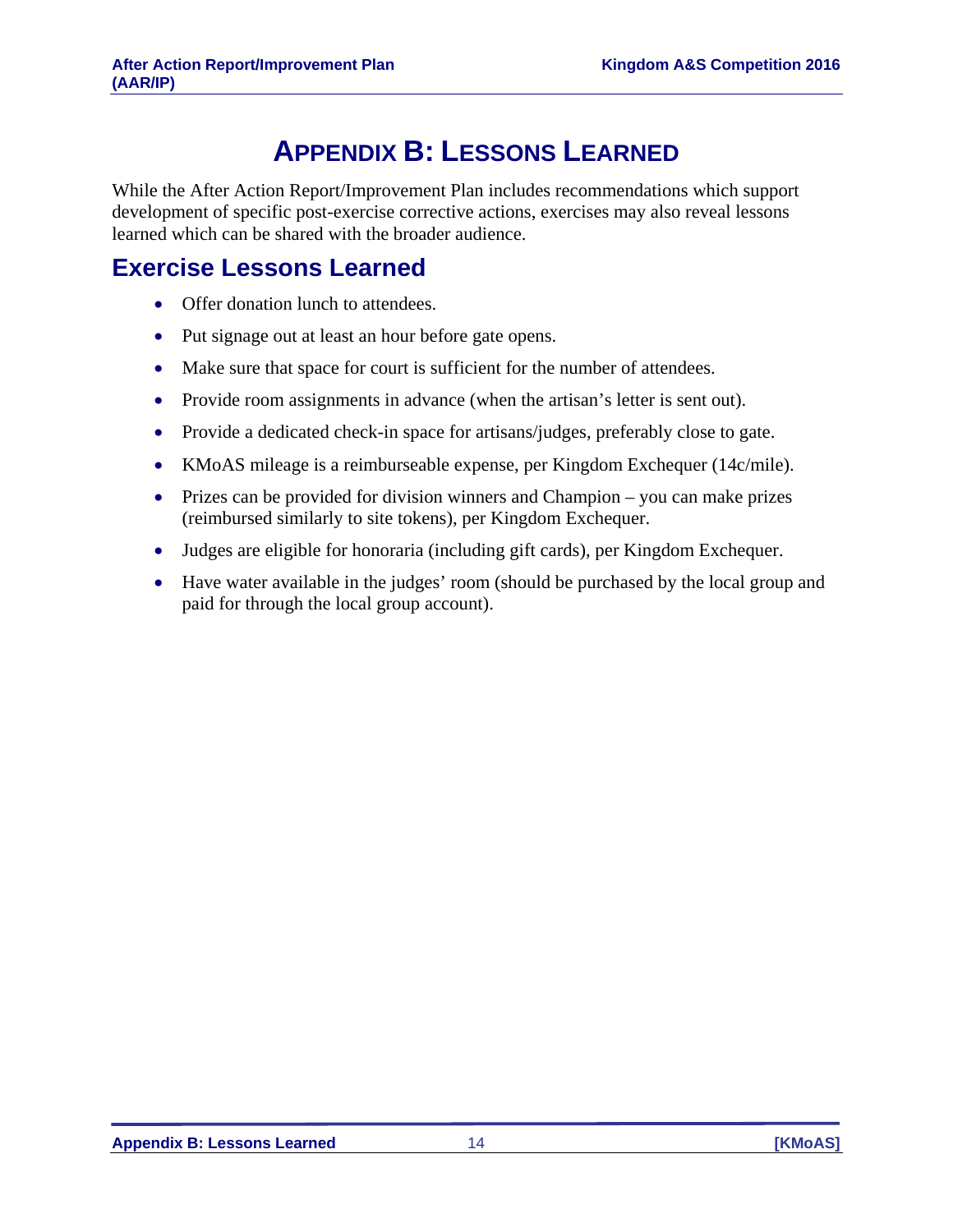### **APPENDIX B: LESSONS LEARNED**

While the After Action Report/Improvement Plan includes recommendations which support development of specific post-exercise corrective actions, exercises may also reveal lessons learned which can be shared with the broader audience.

### **Exercise Lessons Learned**

- Offer donation lunch to attendees.
- Put signage out at least an hour before gate opens.
- Make sure that space for court is sufficient for the number of attendees.
- Provide room assignments in advance (when the artisan's letter is sent out).
- Provide a dedicated check-in space for artisans/judges, preferably close to gate.
- KMoAS mileage is a reimburseable expense, per Kingdom Exchequer (14c/mile).
- Prizes can be provided for division winners and Champion you can make prizes (reimbursed similarly to site tokens), per Kingdom Exchequer.
- Judges are eligible for honoraria (including gift cards), per Kingdom Exchequer.
- Have water available in the judges' room (should be purchased by the local group and paid for through the local group account).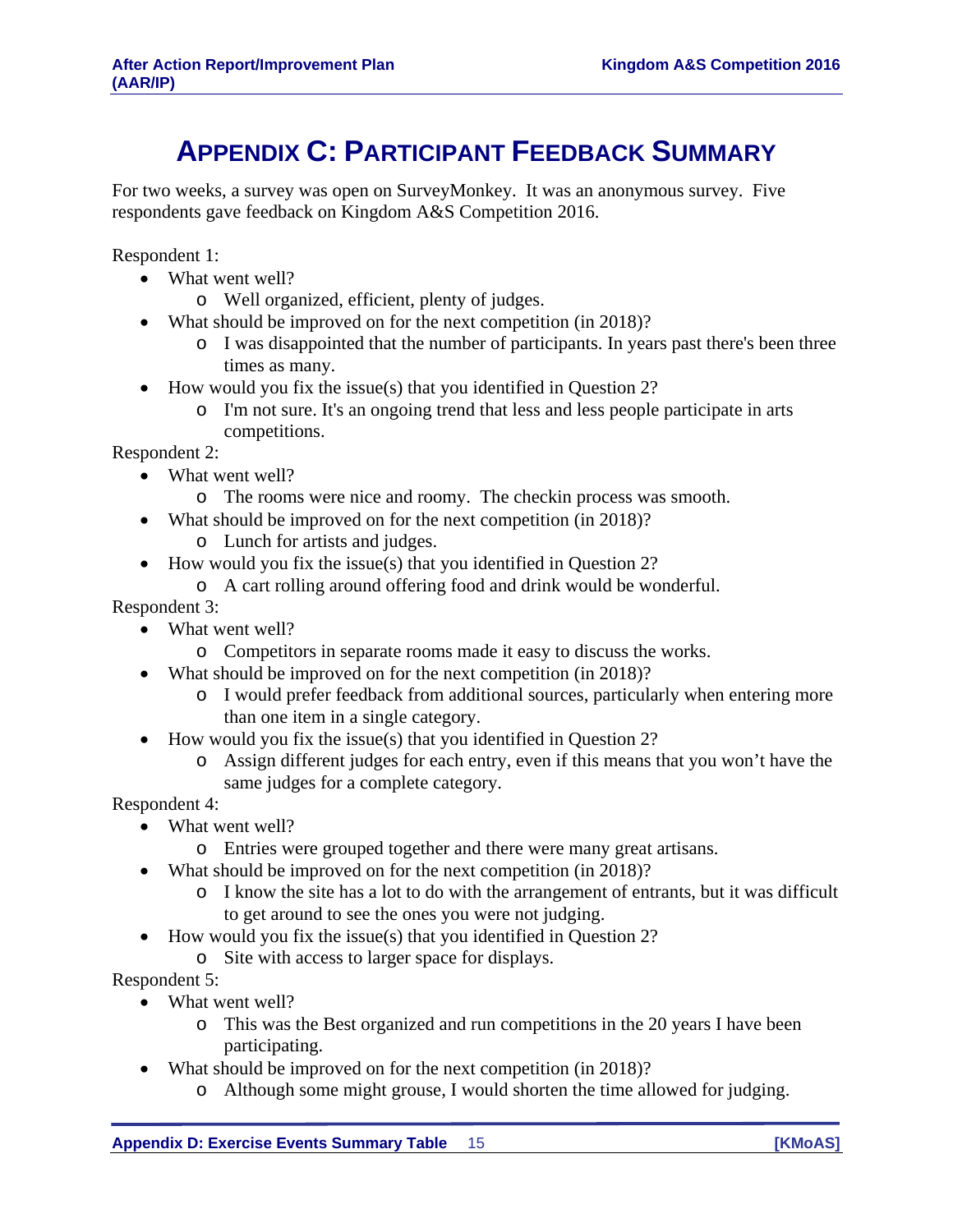### **APPENDIX C: PARTICIPANT FEEDBACK SUMMARY**

For two weeks, a survey was open on SurveyMonkey. It was an anonymous survey. Five respondents gave feedback on Kingdom A&S Competition 2016.

Respondent 1:

- What went well?
	- o Well organized, efficient, plenty of judges.
- What should be improved on for the next competition (in 2018)?
	- o I was disappointed that the number of participants. In years past there's been three times as many.
- $\bullet$  How would you fix the issue(s) that you identified in Question 2?
	- o I'm not sure. It's an ongoing trend that less and less people participate in arts competitions.

Respondent 2:

- What went well?
	- o The rooms were nice and roomy. The checkin process was smooth.
- What should be improved on for the next competition (in 2018)?
	- o Lunch for artists and judges.
- $\bullet$  How would you fix the issue(s) that you identified in Question 2?
- o A cart rolling around offering food and drink would be wonderful.

Respondent 3:

- What went well?
	- o Competitors in separate rooms made it easy to discuss the works.
- What should be improved on for the next competition (in 2018)?
	- o I would prefer feedback from additional sources, particularly when entering more than one item in a single category.
- $\bullet$  How would you fix the issue(s) that you identified in Question 2?
	- o Assign different judges for each entry, even if this means that you won't have the same judges for a complete category.

Respondent 4:

- What went well?
	- o Entries were grouped together and there were many great artisans.
- What should be improved on for the next competition (in 2018)?
	- o I know the site has a lot to do with the arrangement of entrants, but it was difficult to get around to see the ones you were not judging.
- How would you fix the issue(s) that you identified in Question 2?
	- o Site with access to larger space for displays.

Respondent 5:

- What went well?
	- o This was the Best organized and run competitions in the 20 years I have been participating.
- What should be improved on for the next competition (in 2018)?
	- o Although some might grouse, I would shorten the time allowed for judging.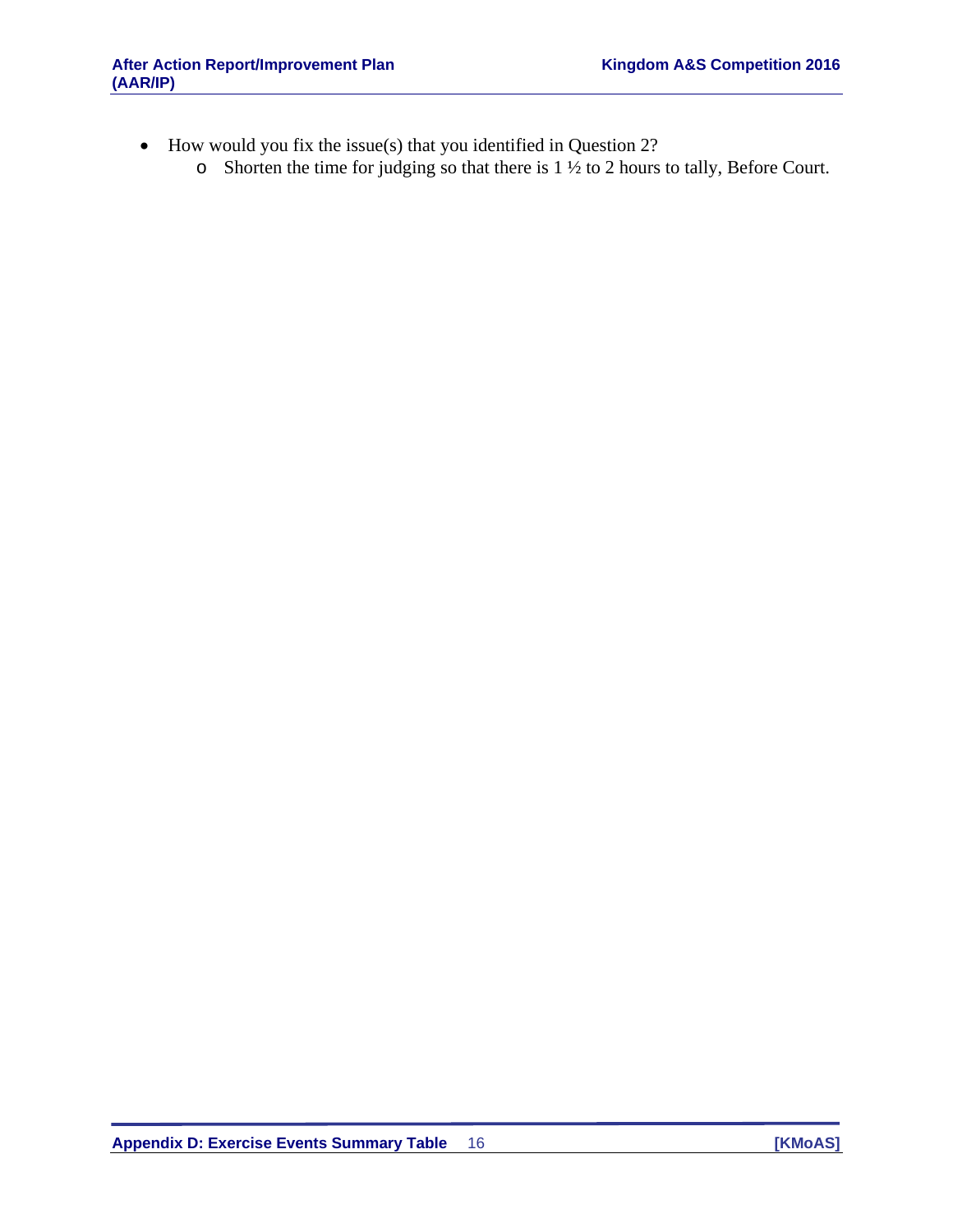- How would you fix the issue(s) that you identified in Question 2?
	- o Shorten the time for judging so that there is 1 ½ to 2 hours to tally, Before Court.